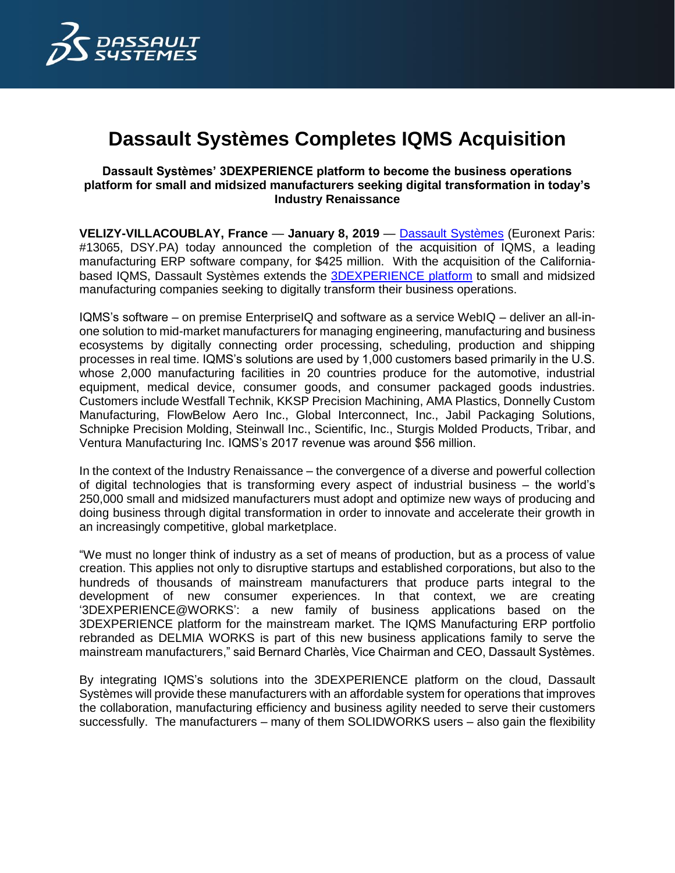

# **Dassault Systèmes Completes IQMS Acquisition**

## **Dassault Systèmes' 3DEXPERIENCE platform to become the business operations platform for small and midsized manufacturers seeking digital transformation in today's Industry Renaissance**

**VELIZY-VILLACOUBLAY, France** — **January 8, 2019** — [Dassault Systèmes](http://www.3ds.com/) (Euronext Paris: #13065, DSY.PA) today announced the completion of the acquisition of IQMS, a leading manufacturing ERP software company, for \$425 million. With the acquisition of the Californiabased IQMS, Dassault Systèmes extends the [3DEXPERIENCE platform](https://www.3ds.com/about-3ds/3dexperience-platform) to small and midsized manufacturing companies seeking to digitally transform their business operations.

IQMS's software – on premise EnterpriseIQ and software as a service WebIQ – deliver an all-inone solution to mid-market manufacturers for managing engineering, manufacturing and business ecosystems by digitally connecting order processing, scheduling, production and shipping processes in real time. IQMS's solutions are used by 1,000 customers based primarily in the U.S. whose 2,000 manufacturing facilities in 20 countries produce for the automotive, industrial equipment, medical device, consumer goods, and consumer packaged goods industries. Customers include Westfall Technik, KKSP Precision Machining, AMA Plastics, Donnelly Custom Manufacturing, FlowBelow Aero Inc., Global Interconnect, Inc., Jabil Packaging Solutions, Schnipke Precision Molding, Steinwall Inc., Scientific, Inc., Sturgis Molded Products, Tribar, and Ventura Manufacturing Inc. IQMS's 2017 revenue was around \$56 million.

In the context of the Industry Renaissance – the convergence of a diverse and powerful collection of digital technologies that is transforming every aspect of industrial business – the world's 250,000 small and midsized manufacturers must adopt and optimize new ways of producing and doing business through digital transformation in order to innovate and accelerate their growth in an increasingly competitive, global marketplace.

"We must no longer think of industry as a set of means of production, but as a process of value creation. This applies not only to disruptive startups and established corporations, but also to the hundreds of thousands of mainstream manufacturers that produce parts integral to the development of new consumer experiences. In that context, we are creating '3DEXPERIENCE@WORKS': a new family of business applications based on the 3DEXPERIENCE platform for the mainstream market. The IQMS Manufacturing ERP portfolio rebranded as DELMIA WORKS is part of this new business applications family to serve the mainstream manufacturers," said Bernard Charlès, Vice Chairman and CEO, Dassault Systèmes.

By integrating IQMS's solutions into the 3DEXPERIENCE platform on the cloud, Dassault Systèmes will provide these manufacturers with an affordable system for operations that improves the collaboration, manufacturing efficiency and business agility needed to serve their customers successfully. The manufacturers – many of them SOLIDWORKS users – also gain the flexibility